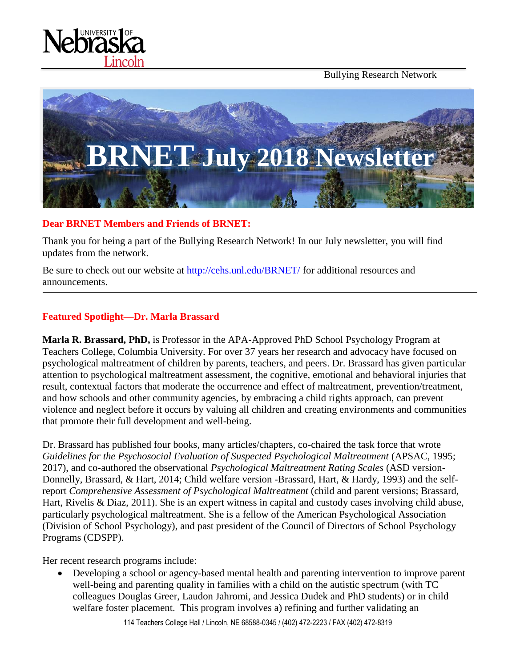Bullying Research Network





#### **Dear BRNET Members and Friends of BRNET:**

Thank you for being a part of the Bullying Research Network! In our July newsletter, you will find updates from the network.

Be sure to check out our website at<http://cehs.unl.edu/BRNET/> for additional resources and announcements.

#### **Featured Spotlight—Dr. Marla Brassard**

**Marla R. Brassard, PhD,** is Professor in the APA-Approved PhD School Psychology Program at Teachers College, Columbia University. For over 37 years her research and advocacy have focused on psychological maltreatment of children by parents, teachers, and peers. Dr. Brassard has given particular attention to psychological maltreatment assessment, the cognitive, emotional and behavioral injuries that result, contextual factors that moderate the occurrence and effect of maltreatment, prevention/treatment, and how schools and other community agencies, by embracing a child rights approach, can prevent violence and neglect before it occurs by valuing all children and creating environments and communities that promote their full development and well-being.

Dr. Brassard has published four books, many articles/chapters, co-chaired the task force that wrote Guidelines for the Psychosocial Evaluation of Suspected Psychological Maltreatment (APSAC, 1995; 2017), and co-authored the observational *Psychological Maltreatment Rating Scales* (ASD version-Donnelly, Brassard, & Hart, 2014; Child welfare version -Brassard, Hart, & Hardy, 1993) and the selfreport *Comprehensive Assessment of Psychological Maltreatment* (child and parent versions; Brassard, Hart, Rivelis & Diaz, 2011). She is an expert witness in capital and custody cases involving child abuse, particularly psychological maltreatment. She is a fellow of the American Psychological Association (Division of School Psychology), and past president of the Council of Directors of School Psychology Programs (CDSPP).

Her recent research programs include:

• Developing a school or agency-based mental health and parenting intervention to improve parent well-being and parenting quality in families with a child on the autistic spectrum (with TC colleagues Douglas Greer, Laudon Jahromi, and Jessica Dudek and PhD students) or in child welfare foster placement. This program involves a) refining and further validating an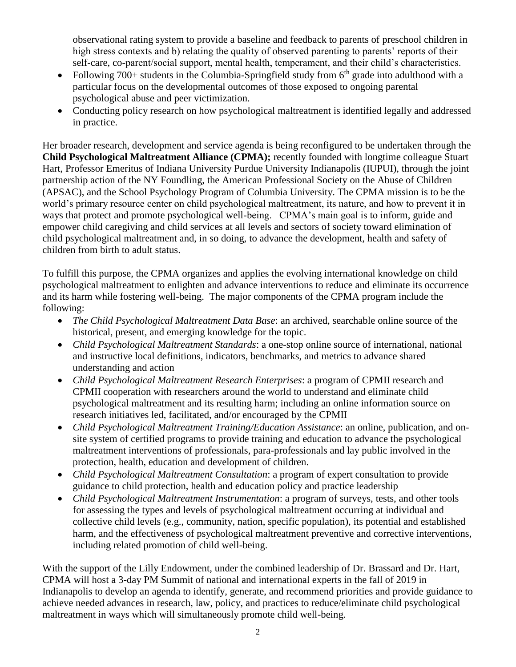observational rating system to provide a baseline and feedback to parents of preschool children in high stress contexts and b) relating the quality of observed parenting to parents' reports of their self-care, co-parent/social support, mental health, temperament, and their child's characteristics.

- Following 700+ students in the Columbia-Springfield study from  $6<sup>th</sup>$  grade into adulthood with a particular focus on the developmental outcomes of those exposed to ongoing parental psychological abuse and peer victimization.
- Conducting policy research on how psychological maltreatment is identified legally and addressed in practice.

Her broader research, development and service agenda is being reconfigured to be undertaken through the **Child Psychological Maltreatment Alliance (CPMA);** recently founded with longtime colleague Stuart Hart, Professor Emeritus of Indiana University Purdue University Indianapolis (IUPUI), through the joint partnership action of the NY Foundling, the American Professional Society on the Abuse of Children (APSAC), and the School Psychology Program of Columbia University. The CPMA mission is to be the world's primary resource center on child psychological maltreatment, its nature, and how to prevent it in ways that protect and promote psychological well-being. CPMA's main goal is to inform, guide and empower child caregiving and child services at all levels and sectors of society toward elimination of child psychological maltreatment and, in so doing, to advance the development, health and safety of children from birth to adult status.

To fulfill this purpose, the CPMA organizes and applies the evolving international knowledge on child psychological maltreatment to enlighten and advance interventions to reduce and eliminate its occurrence and its harm while fostering well-being. The major components of the CPMA program include the following:

- *The Child Psychological Maltreatment Data Base*: an archived, searchable online source of the historical, present, and emerging knowledge for the topic.
- *Child Psychological Maltreatment Standards*: a one-stop online source of international, national and instructive local definitions, indicators, benchmarks, and metrics to advance shared understanding and action
- *Child Psychological Maltreatment Research Enterprises*: a program of CPMII research and CPMII cooperation with researchers around the world to understand and eliminate child psychological maltreatment and its resulting harm; including an online information source on research initiatives led, facilitated, and/or encouraged by the CPMII
- *Child Psychological Maltreatment Training/Education Assistance*: an online, publication, and onsite system of certified programs to provide training and education to advance the psychological maltreatment interventions of professionals, para-professionals and lay public involved in the protection, health, education and development of children.
- *Child Psychological Maltreatment Consultation*: a program of expert consultation to provide guidance to child protection, health and education policy and practice leadership
- *Child Psychological Maltreatment Instrumentation*: a program of surveys, tests, and other tools for assessing the types and levels of psychological maltreatment occurring at individual and collective child levels (e.g., community, nation, specific population), its potential and established harm, and the effectiveness of psychological maltreatment preventive and corrective interventions, including related promotion of child well-being.

With the support of the Lilly Endowment, under the combined leadership of Dr. Brassard and Dr. Hart, CPMA will host a 3-day PM Summit of national and international experts in the fall of 2019 in Indianapolis to develop an agenda to identify, generate, and recommend priorities and provide guidance to achieve needed advances in research, law, policy, and practices to reduce/eliminate child psychological maltreatment in ways which will simultaneously promote child well-being.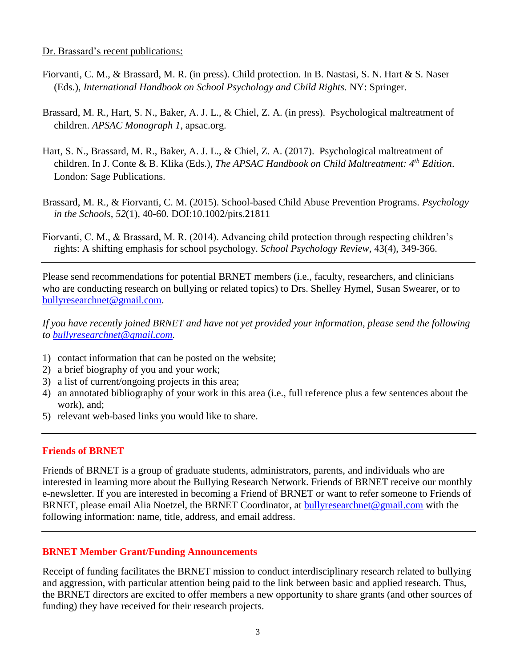#### Dr. Brassard's recent publications:

- Fiorvanti, C. M., & Brassard, M. R. (in press). Child protection. In B. Nastasi, S. N. Hart & S. Naser (Eds.), *International Handbook on School Psychology and Child Rights.* NY: Springer.
- Brassard, M. R., Hart, S. N., Baker, A. J. L., & Chiel, Z. A. (in press). Psychological maltreatment of children. *APSAC Monograph 1*, apsac.org.
- Hart, S. N., Brassard, M. R., Baker, A. J. L., & Chiel, Z. A. (2017). Psychological maltreatment of children. In J. Conte & B. Klika (Eds.), *The APSAC Handbook on Child Maltreatment: 4th Edition*. London: Sage Publications.
- Brassard, M. R., & Fiorvanti, C. M. (2015). School-based Child Abuse Prevention Programs. *Psychology in the Schools, 52*(1), 40-60*.* DOI:10.1002/pits.21811
- Fiorvanti, C. M., & Brassard, M. R. (2014). Advancing child protection through respecting children's rights: A shifting emphasis for school psychology. *School Psychology Review*, 43(4), 349-366.

Please send recommendations for potential BRNET members (i.e., faculty, researchers, and clinicians who are conducting research on bullying or related topics) to Drs. Shelley Hymel, Susan Swearer, or to [bullyresearchnet@gmail.com.](mailto:bullyresearchnet@gmail.com)

*If you have recently joined BRNET and have not yet provided your information, please send the following to [bullyresearchnet@gmail.com.](mailto:bullyresearchnet@gmail.com)*

- 1) contact information that can be posted on the website;
- 2) a brief biography of you and your work;
- 3) a list of current/ongoing projects in this area;
- 4) an annotated bibliography of your work in this area (i.e., full reference plus a few sentences about the work), and;
- 5) relevant web-based links you would like to share.

## **Friends of BRNET**

Friends of BRNET is a group of graduate students, administrators, parents, and individuals who are interested in learning more about the Bullying Research Network. Friends of BRNET receive our monthly e-newsletter. If you are interested in becoming a Friend of BRNET or want to refer someone to Friends of BRNET, please email Alia Noetzel, the BRNET Coordinator, at [bullyresearchnet@gmail.com](mailto:bullyresearchnet@gmail.com) with the following information: name, title, address, and email address.

## **BRNET Member Grant/Funding Announcements**

Receipt of funding facilitates the BRNET mission to conduct interdisciplinary research related to bullying and aggression, with particular attention being paid to the link between basic and applied research. Thus, the BRNET directors are excited to offer members a new opportunity to share grants (and other sources of funding) they have received for their research projects.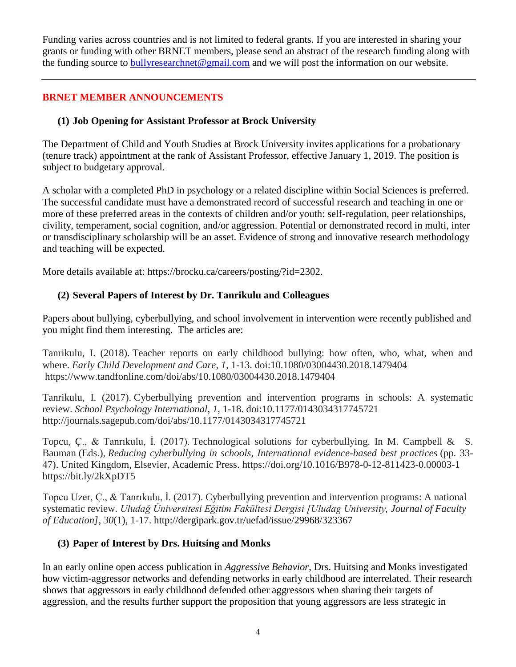Funding varies across countries and is not limited to federal grants. If you are interested in sharing your grants or funding with other BRNET members, please send an abstract of the research funding along with the funding source to [bullyresearchnet@gmail.com](mailto:bullyresearchnet@gmail.com) and we will post the information on our website.

# **BRNET MEMBER ANNOUNCEMENTS**

## **(1) Job Opening for Assistant Professor at Brock University**

The Department of Child and Youth Studies at Brock University invites applications for a probationary (tenure track) appointment at the rank of Assistant Professor, effective January 1, 2019. The position is subject to budgetary approval.

A scholar with a completed PhD in psychology or a related discipline within Social Sciences is preferred. The successful candidate must have a demonstrated record of successful research and teaching in one or more of these preferred areas in the contexts of children and/or youth: self-regulation, peer relationships, civility, temperament, social cognition, and/or aggression. Potential or demonstrated record in multi, inter or transdisciplinary scholarship will be an asset. Evidence of strong and innovative research methodology and teaching will be expected.

More details available at: https://brocku.ca/careers/posting/?id=2302.

## **(2) Several Papers of Interest by Dr. Tanrikulu and Colleagues**

Papers about bullying, cyberbullying, and school involvement in intervention were recently published and you might find them interesting. The articles are:

Tanrikulu, I. (2018). Teacher reports on early childhood bullying: how often, who, what, when and where. *Early Child Development and Care*, *1*, 1-13. doi:10.1080/03004430.2018.1479404 https://www.tandfonline.com/doi/abs/10.1080/03004430.2018.1479404

Tanrikulu, I. (2017). Cyberbullying prevention and intervention programs in schools: A systematic review. *School Psychology International*, *1*, 1-18. doi:10.1177/0143034317745721 http://journals.sagepub.com/doi/abs/10.1177/0143034317745721

Topcu, C., & Tanrikulu, I. (2017). Technological solutions for cyberbullying. In M. Campbell & S. Bauman (Eds.), *Reducing cyberbullying in schools, International evidence-based best practices* (pp. 33- 47). United Kingdom, Elsevier, Academic Press. https://doi.org/10.1016/B978-0-12-811423-0.00003-1 https://bit.ly/2kXpDT5

Topcu Uzer, Ç., & Tanrıkulu, İ. (2017). Cyberbullying prevention and intervention programs: A national systematic review. *Uludağ Üniversitesi Eğitim Fakültesi Dergisi [Uludag University, Journal of Faculty of Education]*, *30*(1), 1-17. http://dergipark.gov.tr/uefad/issue/29968/323367

## **(3) Paper of Interest by Drs. Huitsing and Monks**

In an early online open access publication in *Aggressive Behavior*, Drs. Huitsing and Monks investigated how victim-aggressor networks and defending networks in early childhood are interrelated. Their research shows that aggressors in early childhood defended other aggressors when sharing their targets of aggression, and the results further support the proposition that young aggressors are less strategic in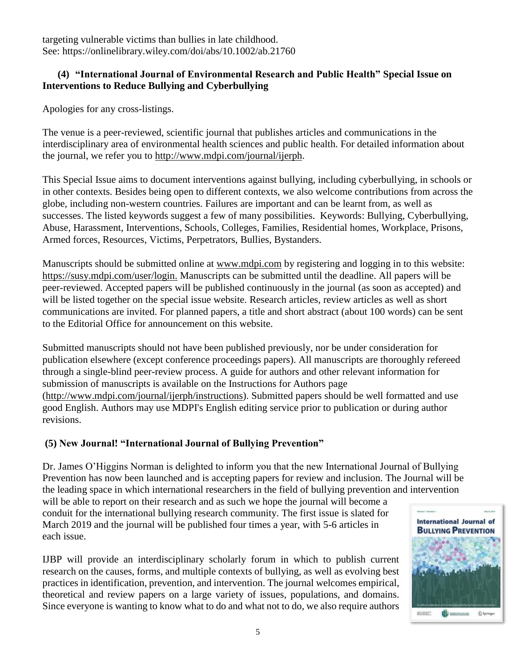targeting vulnerable victims than bullies in late childhood. See: https://onlinelibrary.wiley.com/doi/abs/10.1002/ab.21760

## **(4) "International Journal of Environmental Research and Public Health" Special Issue on Interventions to Reduce Bullying and Cyberbullying**

Apologies for any cross-listings.

The venue is a peer-reviewed, scientific journal that publishes articles and communications in the interdisciplinary area of environmental health sciences and public health. For detailed information about the journal, we refer you to [http://www.mdpi.com/journal/ijerph.](http://www.mdpi.com/journal/ijerph)

This Special Issue aims to document interventions against bullying, including cyberbullying, in schools or in other contexts. Besides being open to different contexts, we also welcome contributions from across the globe, including non-western countries. Failures are important and can be learnt from, as well as successes. The listed keywords suggest a few of many possibilities. Keywords: Bullying, Cyberbullying, Abuse, Harassment, Interventions, Schools, Colleges, Families, Residential homes, Workplace, Prisons, Armed forces, Resources, Victims, Perpetrators, Bullies, Bystanders.

Manuscripts should be submitted online at [www.mdpi.com](https://urldefense.proofpoint.com/v2/url?u=http-3A__www.mdpi.com_&d=DwMFAg&c=Cu5g146wZdoqVuKpTNsYHeFX_rg6kWhlkLF8Eft-wwo&r=cXoPjE5bhAYAw7UpUbU1OVNKQBjHq0uZTOrbgqFBDIg&m=810_TsHEn3jbrwALzp9RUWrCD-KRb_YI1ZJOtNmH_Yk&s=XWVwI2RZIjTS-_6guV1vVDEfgObo09h5NGZ3dtJbgao&e=) by registering and logging in to this website: https://susy.mdpi.com/user/login. Manuscripts can be submitted until the deadline. All papers will be peer-reviewed. Accepted papers will be published continuously in the journal (as soon as accepted) and will be listed together on the special issue website. Research articles, review articles as well as short communications are invited. For planned papers, a title and short abstract (about 100 words) can be sent to the Editorial Office for announcement on this website.

Submitted manuscripts should not have been published previously, nor be under consideration for publication elsewhere (except conference proceedings papers). All manuscripts are thoroughly refereed through a single-blind peer-review process. A guide for authors and other relevant information for submission of manuscripts is available on the Instructions for Authors page (http://www.mdpi.com/journal/ijerph/instructions). Submitted papers should be well formatted and use good English. Authors may use MDPI's English editing service prior to publication or during author revisions.

# **(5) New Journal! "International Journal of Bullying Prevention"**

Dr. James O'Higgins Norman is delighted to inform you that the new International Journal of Bullying Prevention has now been launched and is accepting papers for review and inclusion. The Journal will be the leading space in which international researchers in the field of bullying prevention and intervention

will be able to report on their research and as such we hope the journal will become a conduit for the international bullying research community. The first issue is slated for March 2019 and the journal will be published four times a year, with 5-6 articles in each issue.

IJBP will provide an interdisciplinary scholarly forum in which to publish current research on the causes, forms, and multiple contexts of bullying, as well as evolving best practices in identification, prevention, and intervention. The journal welcomes empirical, theoretical and review papers on a large variety of issues, populations, and domains. Since everyone is wanting to know what to do and what not to do, we also require authors

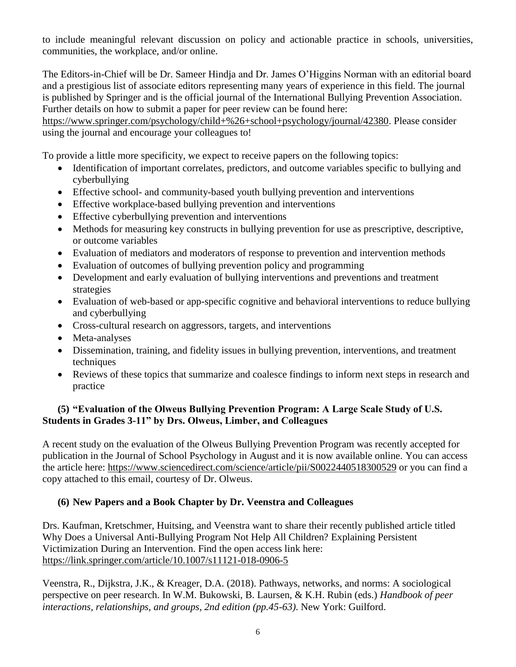to include meaningful relevant discussion on policy and actionable practice in schools, universities, communities, the workplace, and/or online.

The Editors-in-Chief will be Dr. Sameer Hindja and Dr. James O'Higgins Norman with an editorial board and a prestigious list of associate editors representing many years of experience in this field. The journal is published by Springer and is the official journal of the International Bullying Prevention Association. Further details on how to submit a paper for peer review can be found here:

https://www.springer.com/psychology/child+%26+school+psychology/journal/42380. Please consider using the journal and encourage your colleagues to!

To provide a little more specificity, we expect to receive papers on the following topics:

- Identification of important correlates, predictors, and outcome variables specific to bullying and cyberbullying
- Effective school- and community-based youth bullying prevention and interventions
- Effective workplace-based bullying prevention and interventions
- Effective cyberbullying prevention and interventions
- Methods for measuring key constructs in bullying prevention for use as prescriptive, descriptive, or outcome variables
- Evaluation of mediators and moderators of response to prevention and intervention methods
- Evaluation of outcomes of bullying prevention policy and programming
- Development and early evaluation of bullying interventions and preventions and treatment strategies
- Evaluation of web-based or app-specific cognitive and behavioral interventions to reduce bullying and cyberbullying
- Cross-cultural research on aggressors, targets, and interventions
- Meta-analyses
- Dissemination, training, and fidelity issues in bullying prevention, interventions, and treatment techniques
- Reviews of these topics that summarize and coalesce findings to inform next steps in research and practice

# **(5) "Evaluation of the Olweus Bullying Prevention Program: A Large Scale Study of U.S. Students in Grades 3-11" by Drs. Olweus, Limber, and Colleagues**

A recent study on the evaluation of the Olweus Bullying Prevention Program was recently accepted for publication in the Journal of School Psychology in August and it is now available online. You can access the article here: https://www.sciencedirect.com/science/article/pii/S0022440518300529 or you can find a copy attached to this email, courtesy of Dr. Olweus.

# **(6) New Papers and a Book Chapter by Dr. Veenstra and Colleagues**

Drs. Kaufman, Kretschmer, Huitsing, and Veenstra want to share their recently published article titled Why Does a Universal Anti-Bullying Program Not Help All Children? Explaining Persistent Victimization During an Intervention. Find the open access link here: https://link.springer.com/article/10.1007/s11121-018-0906-5

Veenstra, R., Dijkstra, J.K., & Kreager, D.A. (2018). Pathways, networks, and norms: A sociological perspective on peer research. In W.M. Bukowski, B. Laursen, & K.H. Rubin (eds.) *Handbook of peer interactions, relationships, and groups, 2nd edition (pp.45-63)*. New York: Guilford.